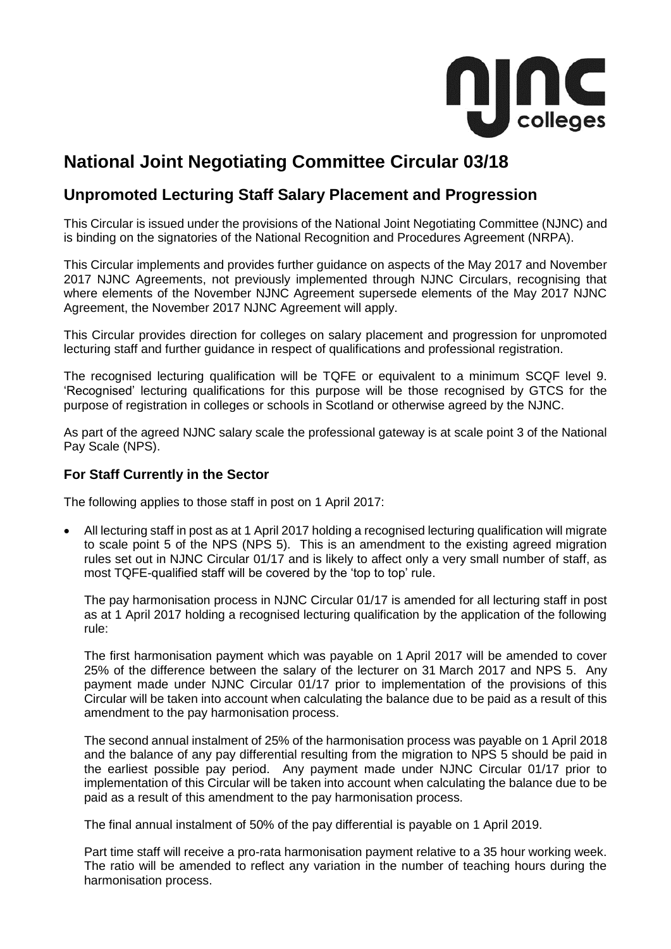

# **National Joint Negotiating Committee Circular 03/18**

# **Unpromoted Lecturing Staff Salary Placement and Progression**

This Circular is issued under the provisions of the National Joint Negotiating Committee (NJNC) and is binding on the signatories of the National Recognition and Procedures Agreement (NRPA).

This Circular implements and provides further guidance on aspects of the May 2017 and November 2017 NJNC Agreements, not previously implemented through NJNC Circulars, recognising that where elements of the November NJNC Agreement supersede elements of the May 2017 NJNC Agreement, the November 2017 NJNC Agreement will apply.

This Circular provides direction for colleges on salary placement and progression for unpromoted lecturing staff and further guidance in respect of qualifications and professional registration.

The recognised lecturing qualification will be TQFE or equivalent to a minimum SCQF level 9. 'Recognised' lecturing qualifications for this purpose will be those recognised by GTCS for the purpose of registration in colleges or schools in Scotland or otherwise agreed by the NJNC.

As part of the agreed NJNC salary scale the professional gateway is at scale point 3 of the National Pay Scale (NPS).

## **For Staff Currently in the Sector**

The following applies to those staff in post on 1 April 2017:

• All lecturing staff in post as at 1 April 2017 holding a recognised lecturing qualification will migrate to scale point 5 of the NPS (NPS 5). This is an amendment to the existing agreed migration rules set out in NJNC Circular 01/17 and is likely to affect only a very small number of staff, as most TQFE-qualified staff will be covered by the 'top to top' rule.

The pay harmonisation process in NJNC Circular 01/17 is amended for all lecturing staff in post as at 1 April 2017 holding a recognised lecturing qualification by the application of the following rule:

The first harmonisation payment which was payable on 1 April 2017 will be amended to cover 25% of the difference between the salary of the lecturer on 31 March 2017 and NPS 5. Any payment made under NJNC Circular 01/17 prior to implementation of the provisions of this Circular will be taken into account when calculating the balance due to be paid as a result of this amendment to the pay harmonisation process.

The second annual instalment of 25% of the harmonisation process was payable on 1 April 2018 and the balance of any pay differential resulting from the migration to NPS 5 should be paid in the earliest possible pay period. Any payment made under NJNC Circular 01/17 prior to implementation of this Circular will be taken into account when calculating the balance due to be paid as a result of this amendment to the pay harmonisation process.

The final annual instalment of 50% of the pay differential is payable on 1 April 2019.

Part time staff will receive a pro-rata harmonisation payment relative to a 35 hour working week. The ratio will be amended to reflect any variation in the number of teaching hours during the harmonisation process.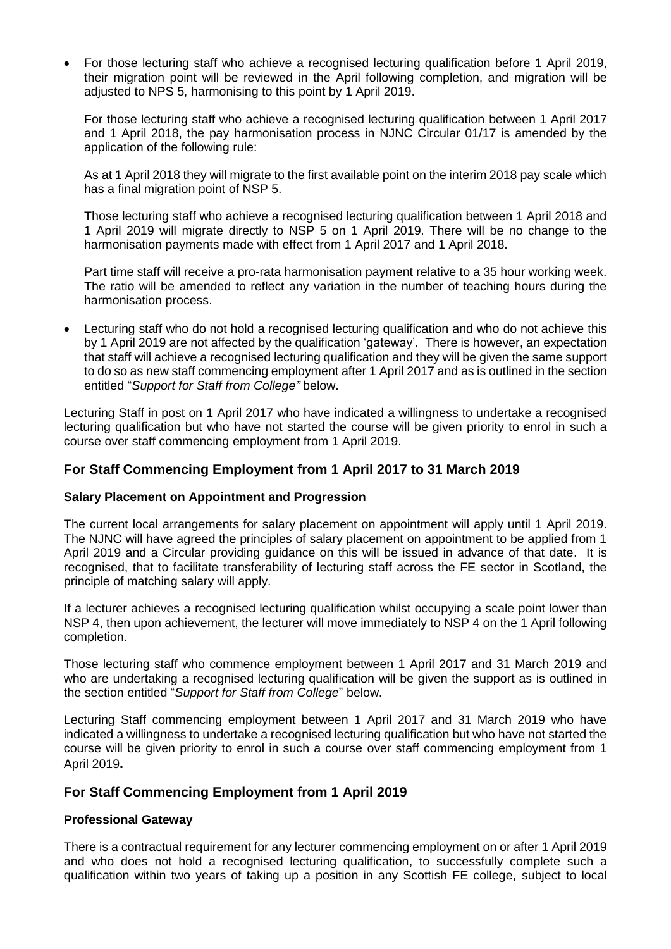• For those lecturing staff who achieve a recognised lecturing qualification before 1 April 2019, their migration point will be reviewed in the April following completion, and migration will be adjusted to NPS 5, harmonising to this point by 1 April 2019.

For those lecturing staff who achieve a recognised lecturing qualification between 1 April 2017 and 1 April 2018, the pay harmonisation process in NJNC Circular 01/17 is amended by the application of the following rule:

As at 1 April 2018 they will migrate to the first available point on the interim 2018 pay scale which has a final migration point of NSP 5.

Those lecturing staff who achieve a recognised lecturing qualification between 1 April 2018 and 1 April 2019 will migrate directly to NSP 5 on 1 April 2019. There will be no change to the harmonisation payments made with effect from 1 April 2017 and 1 April 2018.

Part time staff will receive a pro-rata harmonisation payment relative to a 35 hour working week. The ratio will be amended to reflect any variation in the number of teaching hours during the harmonisation process.

• Lecturing staff who do not hold a recognised lecturing qualification and who do not achieve this by 1 April 2019 are not affected by the qualification 'gateway'. There is however, an expectation that staff will achieve a recognised lecturing qualification and they will be given the same support to do so as new staff commencing employment after 1 April 2017 and as is outlined in the section entitled "*Support for Staff from College"* below.

Lecturing Staff in post on 1 April 2017 who have indicated a willingness to undertake a recognised lecturing qualification but who have not started the course will be given priority to enrol in such a course over staff commencing employment from 1 April 2019.

# **For Staff Commencing Employment from 1 April 2017 to 31 March 2019**

#### **Salary Placement on Appointment and Progression**

The current local arrangements for salary placement on appointment will apply until 1 April 2019. The NJNC will have agreed the principles of salary placement on appointment to be applied from 1 April 2019 and a Circular providing guidance on this will be issued in advance of that date. It is recognised, that to facilitate transferability of lecturing staff across the FE sector in Scotland, the principle of matching salary will apply.

If a lecturer achieves a recognised lecturing qualification whilst occupying a scale point lower than NSP 4, then upon achievement, the lecturer will move immediately to NSP 4 on the 1 April following completion.

Those lecturing staff who commence employment between 1 April 2017 and 31 March 2019 and who are undertaking a recognised lecturing qualification will be given the support as is outlined in the section entitled "*Support for Staff from College*" below.

Lecturing Staff commencing employment between 1 April 2017 and 31 March 2019 who have indicated a willingness to undertake a recognised lecturing qualification but who have not started the course will be given priority to enrol in such a course over staff commencing employment from 1 April 2019**.**

#### **For Staff Commencing Employment from 1 April 2019**

#### **Professional Gateway**

There is a contractual requirement for any lecturer commencing employment on or after 1 April 2019 and who does not hold a recognised lecturing qualification, to successfully complete such a qualification within two years of taking up a position in any Scottish FE college, subject to local